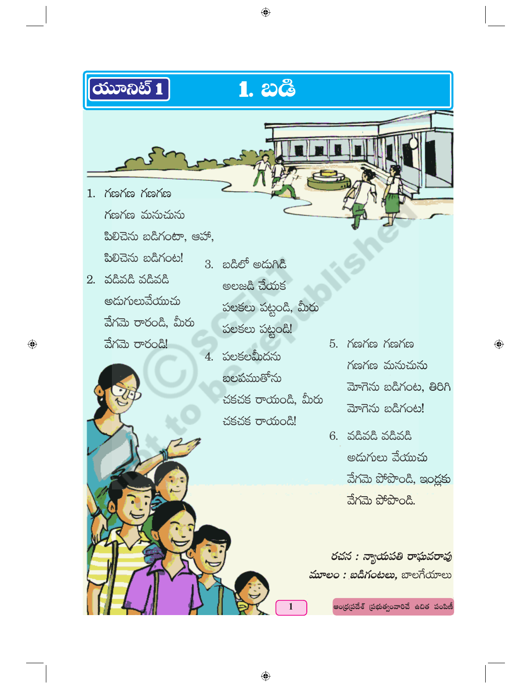

 $\bigoplus$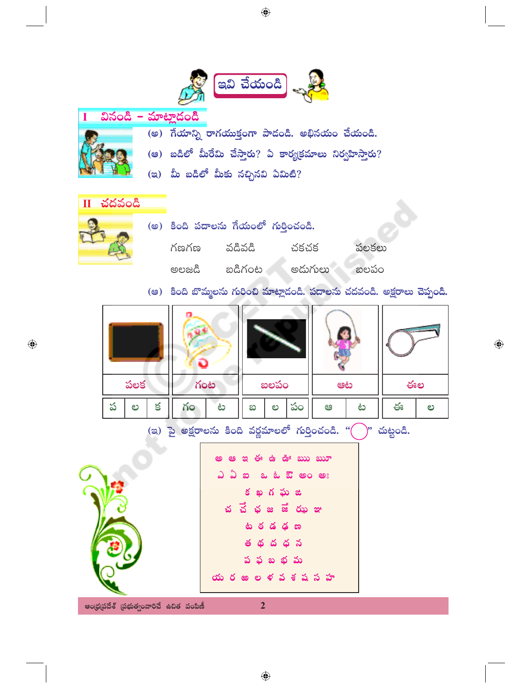

 $\bigoplus$ 

◈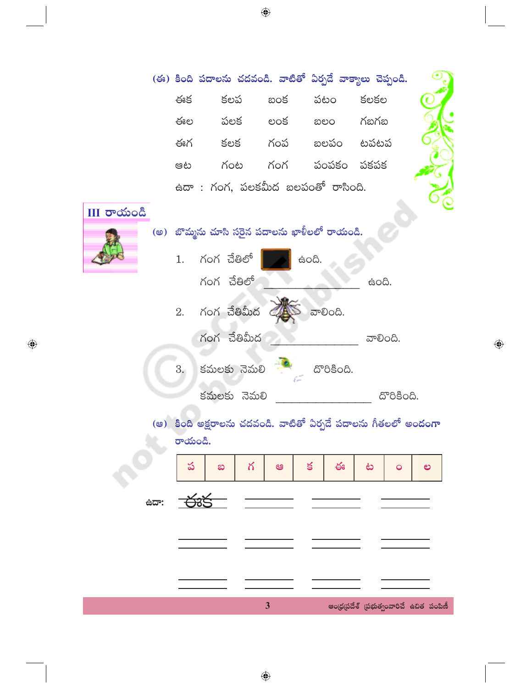|                    |                                                                           |                                           |                         |                         | (ఈ) కింది పదాలను చదవండి. వాటితో ఏర్పడే వాక్యాలు చెప్పండి. |   |  |
|--------------------|---------------------------------------------------------------------------|-------------------------------------------|-------------------------|-------------------------|-----------------------------------------------------------|---|--|
| III <b>రా</b> యండి | ఈక                                                                        | కలప                                       |                         | బంక పటం కలకల            |                                                           |   |  |
|                    |                                                                           |                                           |                         | ఈల పలక లంక బలం గబగబ     |                                                           |   |  |
|                    |                                                                           |                                           |                         | ఈగ కలక గంప బలపం టపటప    |                                                           |   |  |
|                    | ಆಟ                                                                        |                                           |                         | గంట గంగ పంపకం పకపక      |                                                           |   |  |
|                    |                                                                           | ఉదా : గంగ, పలకమీద బలపంతో రాసింది.         |                         |                         |                                                           |   |  |
|                    | (అ)  బొమ్మను చూసి సరైన పదాలను ఖాళీలలో రాయండి.                             |                                           |                         |                         |                                                           |   |  |
|                    | 1.                                                                        | గంగ చేతిలో<br>గంగ చేతిలో                  |                         | සි <b>o</b> යි.         | සි <b>o</b> යි.                                           |   |  |
|                    | 2.                                                                        | గంగ చేతిమీద                               |                         | ವಾಲಿಂದಿ.                |                                                           |   |  |
|                    | 3.                                                                        | గంగ చేతిమీద<br>కమలకు నెమలి<br>కమలకు నెమలి |                         | దొరికింది.              | ವಾಲಿಂದಿ.<br>దొరికింది.                                    |   |  |
|                    | (ఆ) కింది అక్షరాలను చదవండి. వాటితో ఏర్పడే పదాలను గీతలలో అందంగా<br>రాయండి. |                                           |                         |                         |                                                           |   |  |
|                    | ప                                                                         | గ<br>ಐ                                    | ఆ                       | $\leq$<br>$\frac{1}{2}$ | ف<br>$\circ$                                              | ల |  |
| ಕದ್:               | <del>- ਨ</del> ੱਡੜ                                                        |                                           |                         |                         |                                                           |   |  |
|                    |                                                                           |                                           |                         |                         |                                                           |   |  |
|                    |                                                                           |                                           |                         |                         |                                                           |   |  |
|                    |                                                                           |                                           | $\overline{\mathbf{3}}$ |                         | ఆంధ్రప్రదేశ్ (పభుత్వంవారిచే ఉచిత పంపిణీ                   |   |  |

 $\bigoplus$ 

 $\bigoplus$